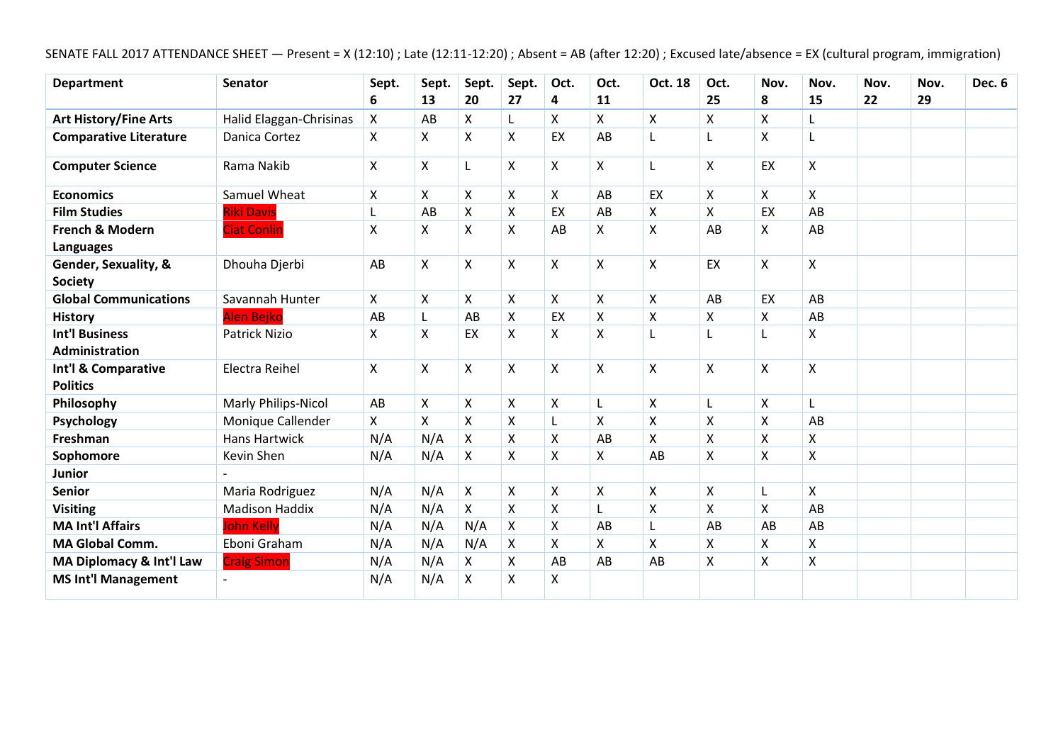# SENATE FALL 2017 ATTENDANCE SHEET — Present = X (12:10) ; Late (12:11-12:20) ; Absent = AB (after 12:20) ; Excused late/absence = EX (cultural program, immigration)

| <b>Department</b>                       | <b>Senator</b>          | Sept. | Sept.              | Sept.              | Sept.                     | Oct. | Oct.                      | Oct. 18                   | Oct.                    | Nov.               | Nov. | Nov. | Nov. | <b>Dec. 6</b> |
|-----------------------------------------|-------------------------|-------|--------------------|--------------------|---------------------------|------|---------------------------|---------------------------|-------------------------|--------------------|------|------|------|---------------|
|                                         |                         | 6     | 13                 | 20                 | 27                        | 4    | 11                        |                           | 25                      | 8                  | 15   | 22   | 29   |               |
| <b>Art History/Fine Arts</b>            | Halid Elaggan-Chrisinas | X     | AB                 | X                  | L                         | X    | X                         | X                         | X                       | X                  |      |      |      |               |
| <b>Comparative Literature</b>           | Danica Cortez           | X     | X                  | X                  | X                         | EX   | AB                        | L                         | L                       | X                  |      |      |      |               |
| <b>Computer Science</b>                 | Rama Nakib              | Χ     | Χ                  | L                  | $\boldsymbol{\mathsf{X}}$ | X    | X                         | L                         | $\mathsf{X}$            | EX                 | X    |      |      |               |
| <b>Economics</b>                        | Samuel Wheat            | Χ     | X                  | Χ                  | $\pmb{\times}$            | X    | AB                        | EX                        | $\pmb{\times}$          | X                  | X    |      |      |               |
| <b>Film Studies</b>                     | <b>Riki Davis</b>       | L     | AB                 | $\pmb{\mathsf{X}}$ | $\mathsf X$               | EX   | AB                        | Χ                         | $\pmb{\mathsf{X}}$      | EX                 | AB   |      |      |               |
| <b>French &amp; Modern</b><br>Languages | <b>Ciat Conlin</b>      | X     | X                  | $\pmb{\mathsf{X}}$ | $\boldsymbol{\mathsf{X}}$ | AB   | $\boldsymbol{\mathsf{X}}$ | X                         | AB                      | X                  | AB   |      |      |               |
| Gender, Sexuality, &<br><b>Society</b>  | Dhouha Djerbi           | AB    | Χ                  | X                  | $\pmb{\mathsf{X}}$        | X    | $\boldsymbol{\mathsf{X}}$ | $\pmb{\mathsf{X}}$        | EX                      | X                  | X    |      |      |               |
| <b>Global Communications</b>            | Savannah Hunter         | X     | $\pmb{\mathsf{X}}$ | X                  | $\boldsymbol{\mathsf{X}}$ | X    | X                         | $\boldsymbol{\mathsf{X}}$ | AB                      | EX                 | AB   |      |      |               |
| <b>History</b>                          | <b>Alen Bejko</b>       | AB    | Г                  | AB                 | X                         | EX   | X                         | X                         | X                       | Χ                  | AB   |      |      |               |
| <b>Int'l Business</b>                   | <b>Patrick Nizio</b>    | X     | Χ                  | EX                 | $\boldsymbol{\mathsf{X}}$ | X    | $\boldsymbol{\mathsf{X}}$ | L                         | L                       | L                  | X    |      |      |               |
| <b>Administration</b>                   |                         |       |                    |                    |                           |      |                           |                           |                         |                    |      |      |      |               |
| Int'l & Comparative                     | Electra Reihel          | Χ     | Χ                  | X                  | $\boldsymbol{\mathsf{X}}$ | X    | $\boldsymbol{\mathsf{X}}$ | $\mathsf{\chi}$           | X                       | $\pmb{\mathsf{X}}$ | X    |      |      |               |
| <b>Politics</b>                         |                         |       |                    |                    |                           |      |                           |                           |                         |                    |      |      |      |               |
| Philosophy                              | Marly Philips-Nicol     | AB    | Χ                  | X                  | $\boldsymbol{\mathsf{X}}$ | Χ    |                           | X                         | L                       | $\pmb{\mathsf{X}}$ |      |      |      |               |
| Psychology                              | Monique Callender       | X     | X                  | Χ                  | X                         | L    | X                         | Χ                         | X                       | X                  | AB   |      |      |               |
| Freshman                                | <b>Hans Hartwick</b>    | N/A   | N/A                | Χ                  | $\mathsf X$               | X    | AB                        | Χ                         | $\pmb{\mathsf{X}}$      | $\pmb{\mathsf{X}}$ | Χ    |      |      |               |
| Sophomore                               | Kevin Shen              | N/A   | N/A                | X                  | X                         | X    | X                         | AB                        | X                       | X                  | Χ    |      |      |               |
| <b>Junior</b>                           |                         |       |                    |                    |                           |      |                           |                           |                         |                    |      |      |      |               |
| <b>Senior</b>                           | Maria Rodriguez         | N/A   | N/A                | X                  | X                         | X    | X                         | Χ                         | X                       | L                  | Χ    |      |      |               |
| <b>Visiting</b>                         | <b>Madison Haddix</b>   | N/A   | N/A                | X                  | $\pmb{\chi}$              | X    | L                         | X                         | $\mathsf{\overline{X}}$ | $\mathsf{X}$       | AB   |      |      |               |
| <b>MA Int'l Affairs</b>                 | <b>John Kelly</b>       | N/A   | N/A                | N/A                | X                         | X    | AB                        |                           | AB                      | AB                 | AB   |      |      |               |
| <b>MA Global Comm.</b>                  | Eboni Graham            | N/A   | N/A                | N/A                | $\pmb{\mathsf{X}}$        | X    | X                         | Χ                         | $\pmb{\mathsf{X}}$      | X                  | X    |      |      |               |
| MA Diplomacy & Int'l Law                | <b>Craig Simon</b>      | N/A   | N/A                | X                  | X                         | AB   | AB                        | AB                        | X                       | X                  | Χ    |      |      |               |
| <b>MS Int'l Management</b>              |                         | N/A   | N/A                | X                  | X                         | X    |                           |                           |                         |                    |      |      |      |               |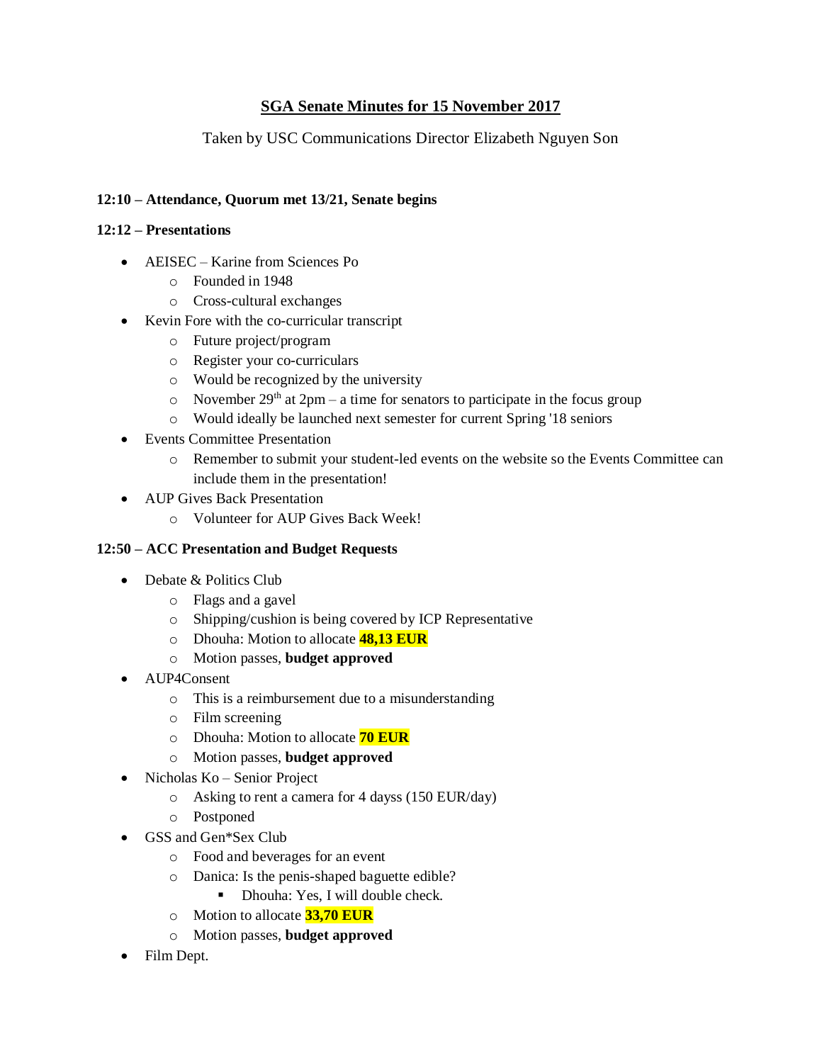## **SGA Senate Minutes for 15 November 2017**

Taken by USC Communications Director Elizabeth Nguyen Son

## **12:10 – Attendance, Quorum met 13/21, Senate begins**

#### **12:12 – Presentations**

- AEISEC Karine from Sciences Po
	- o Founded in 1948
	- o Cross-cultural exchanges
- Kevin Fore with the co-curricular transcript
	- o Future project/program
	- o Register your co-curriculars
	- o Would be recognized by the university
	- o November  $29<sup>th</sup>$  at  $2pm a$  time for senators to participate in the focus group
	- o Would ideally be launched next semester for current Spring '18 seniors
- Events Committee Presentation
	- o Remember to submit your student-led events on the website so the Events Committee can include them in the presentation!
- AUP Gives Back Presentation
	- o Volunteer for AUP Gives Back Week!

### **12:50 – ACC Presentation and Budget Requests**

- Debate & Politics Club
	- o Flags and a gavel
	- o Shipping/cushion is being covered by ICP Representative
	- o Dhouha: Motion to allocate **48,13 EUR**
	- o Motion passes, **budget approved**
- AUP4Consent
	- o This is a reimbursement due to a misunderstanding
	- o Film screening
	- o Dhouha: Motion to allocate **70 EUR**
	- o Motion passes, **budget approved**
- Nicholas Ko Senior Project
	- o Asking to rent a camera for 4 dayss (150 EUR/day)
	- o Postponed
- GSS and Gen\*Sex Club
	- o Food and beverages for an event
	- o Danica: Is the penis-shaped baguette edible?
		- Dhouha: Yes, I will double check.
	- o Motion to allocate **33,70 EUR**
	- o Motion passes, **budget approved**
- Film Dept.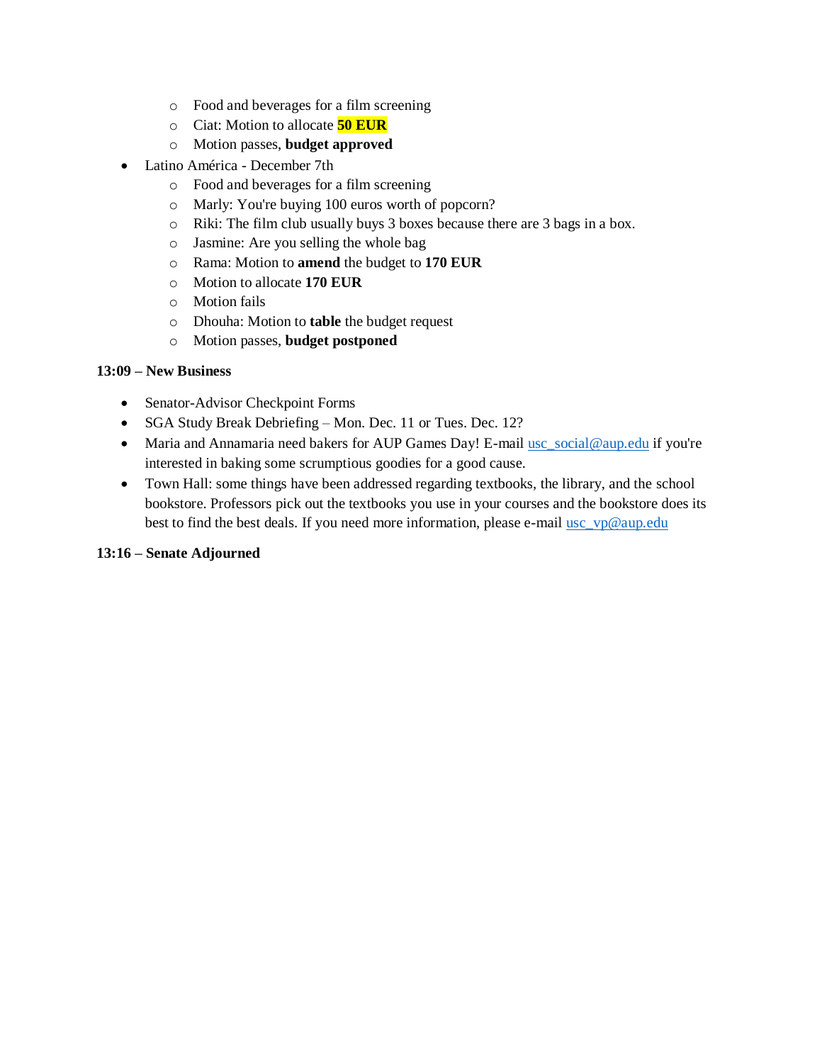- o Food and beverages for a film screening
- o Ciat: Motion to allocate **50 EUR**
- o Motion passes, **budget approved**
- Latino América December 7th
	- o Food and beverages for a film screening
	- o Marly: You're buying 100 euros worth of popcorn?
	- o Riki: The film club usually buys 3 boxes because there are 3 bags in a box.
	- o Jasmine: Are you selling the whole bag
	- o Rama: Motion to **amend** the budget to **170 EUR**
	- o Motion to allocate **170 EUR**
	- o Motion fails
	- o Dhouha: Motion to **table** the budget request
	- o Motion passes, **budget postponed**

#### **13:09 – New Business**

- Senator-Advisor Checkpoint Forms
- SGA Study Break Debriefing Mon. Dec. 11 or Tues. Dec. 12?
- Maria and Annamaria need bakers for AUP Games Day! E-mail [usc\\_social@aup.edu](mailto:usc_social@aup.edu) if you're interested in baking some scrumptious goodies for a good cause.
- Town Hall: some things have been addressed regarding textbooks, the library, and the school bookstore. Professors pick out the textbooks you use in your courses and the bookstore does its best to find the best deals. If you need more information, please e-mail [usc\\_vp@aup.edu](mailto:usc_vp@aup.edu)

#### **13:16 – Senate Adjourned**